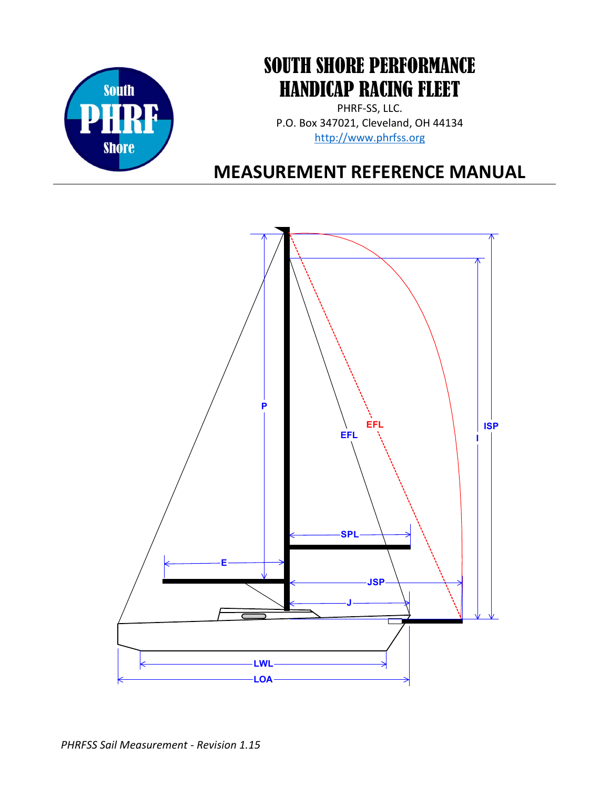

# SOUTH SHORE PERFORMANCE HANDICAP RACING FLEET

PHRF-SS, LLC. P.O. Box 347021, Cleveland, OH 44134 http://www.phrfss.org

# MEASUREMENT REFERENCE MANUAL

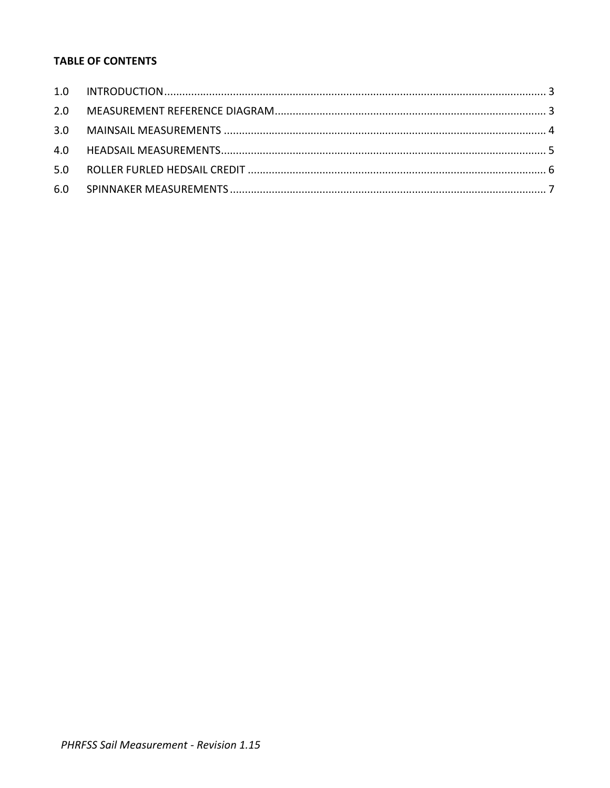## **TABLE OF CONTENTS**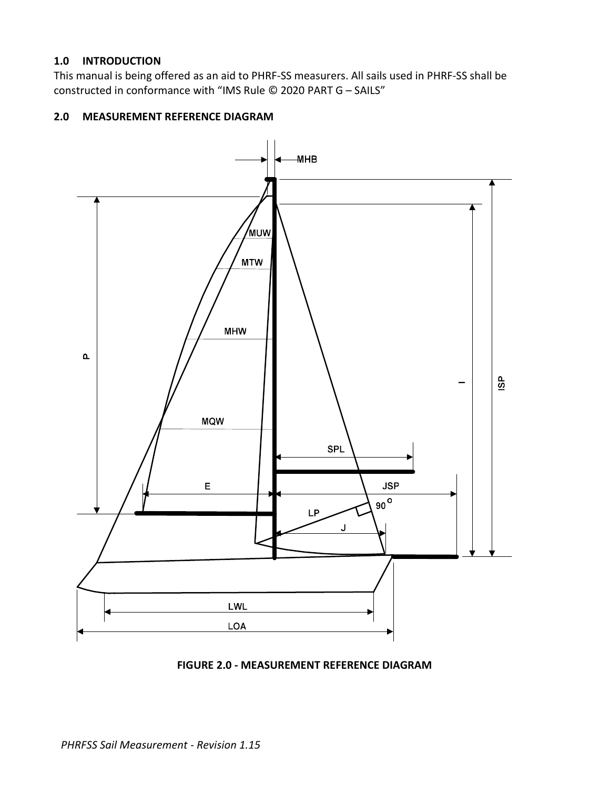## 1.0 INTRODUCTION

This manual is being offered as an aid to PHRF-SS measurers. All sails used in PHRF-SS shall be constructed in conformance with "IMS Rule © 2020 PART G – SAILS"

# 2.0 MEASUREMENT REFERENCE DIAGRAM



FIGURE 2.0 - MEASUREMENT REFERENCE DIAGRAM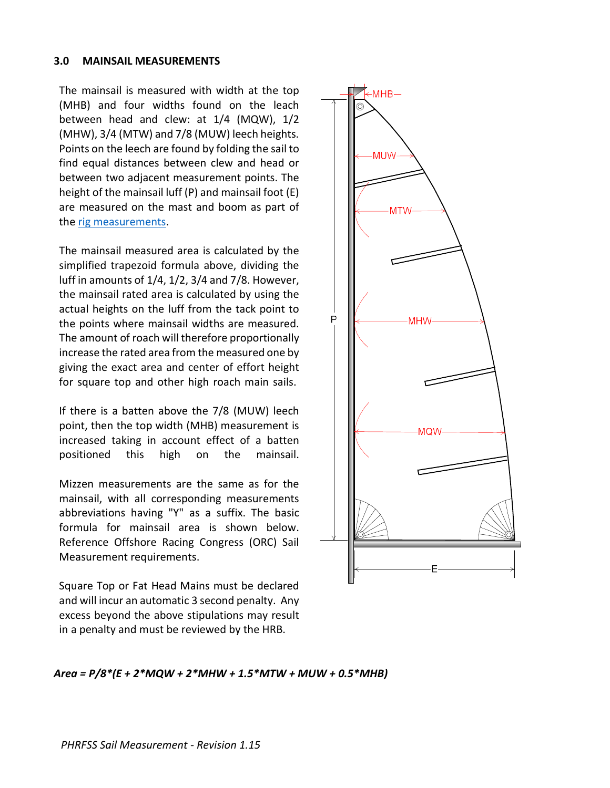#### 3.0 MAINSAIL MEASUREMENTS

The mainsail is measured with width at the top (MHB) and four widths found on the leach between head and clew: at 1/4 (MQW), 1/2 (MHW), 3/4 (MTW) and 7/8 (MUW) leech heights. Points on the leech are found by folding the sail to find equal distances between clew and head or between two adjacent measurement points. The height of the mainsail luff (P) and mainsail foot (E) are measured on the mast and boom as part of the rig measurements.

The mainsail measured area is calculated by the simplified trapezoid formula above, dividing the luff in amounts of 1/4, 1/2, 3/4 and 7/8. However, the mainsail rated area is calculated by using the actual heights on the luff from the tack point to the points where mainsail widths are measured. The amount of roach will therefore proportionally increase the rated area from the measured one by giving the exact area and center of effort height for square top and other high roach main sails.

If there is a batten above the 7/8 (MUW) leech point, then the top width (MHB) measurement is increased taking in account effect of a batten positioned this high on the mainsail.

Mizzen measurements are the same as for the mainsail, with all corresponding measurements abbreviations having "Y" as a suffix. The basic formula for mainsail area is shown below. Reference Offshore Racing Congress (ORC) Sail Measurement requirements.

Square Top or Fat Head Mains must be declared and will incur an automatic 3 second penalty. Any excess beyond the above stipulations may result in a penalty and must be reviewed by the HRB.



 $Area = P/8*(E + 2*MQW + 2*MHW + 1.5*MTW + MUW + 0.5*MHB)$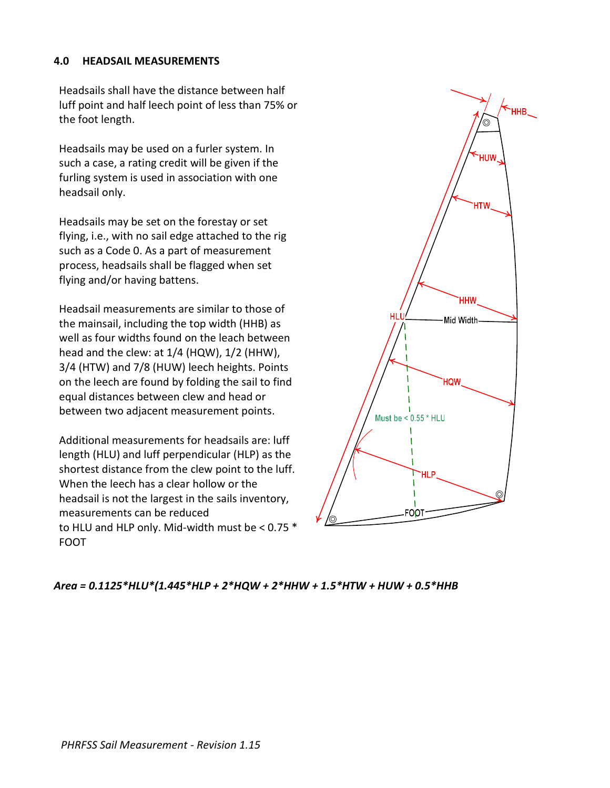#### 4.0 HEADSAIL MEASUREMENTS

Headsails shall have the distance between half luff point and half leech point of less than 75% or the foot length.

Headsails may be used on a furler system. In such a case, a rating credit will be given if the furling system is used in association with one headsail only.

Headsails may be set on the forestay or set flying, i.e., with no sail edge attached to the rig such as a Code 0. As a part of measurement process, headsails shall be flagged when set flying and/or having battens.

Headsail measurements are similar to those of the mainsail, including the top width (HHB) as well as four widths found on the leach between head and the clew: at 1/4 (HQW), 1/2 (HHW), 3/4 (HTW) and 7/8 (HUW) leech heights. Points on the leech are found by folding the sail to find equal distances between clew and head or between two adjacent measurement points.

Additional measurements for headsails are: luff length (HLU) and luff perpendicular (HLP) as the shortest distance from the clew point to the luff. When the leech has a clear hollow or the headsail is not the largest in the sails inventory, measurements can be reduced to HLU and HLP only. Mid-width must be < 0.75 \* FOOT



#### Area =  $0.1125*HLU*(1.445*HLP + 2*HQW + 2*HHW + 1.5*HTW + HUW + 0.5*HHB$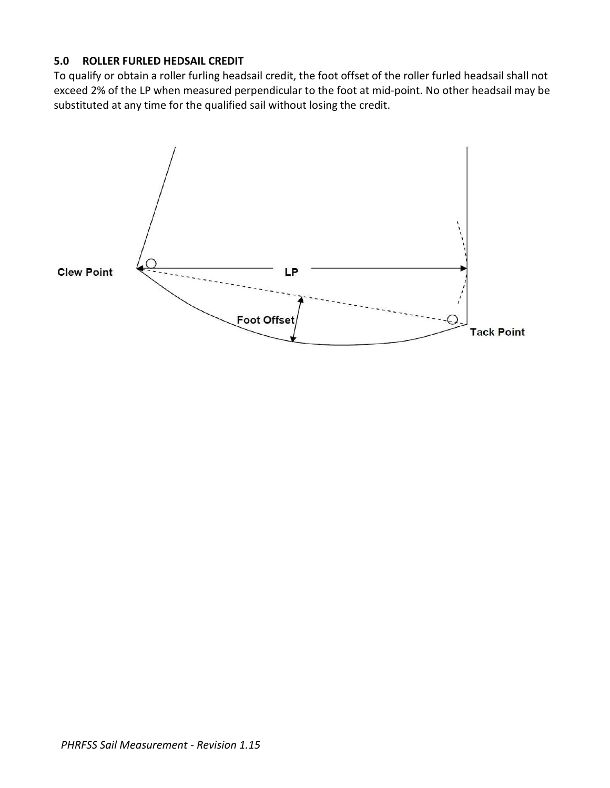## 5.0 ROLLER FURLED HEDSAIL CREDIT

To qualify or obtain a roller furling headsail credit, the foot offset of the roller furled headsail shall not exceed 2% of the LP when measured perpendicular to the foot at mid-point. No other headsail may be substituted at any time for the qualified sail without losing the credit.